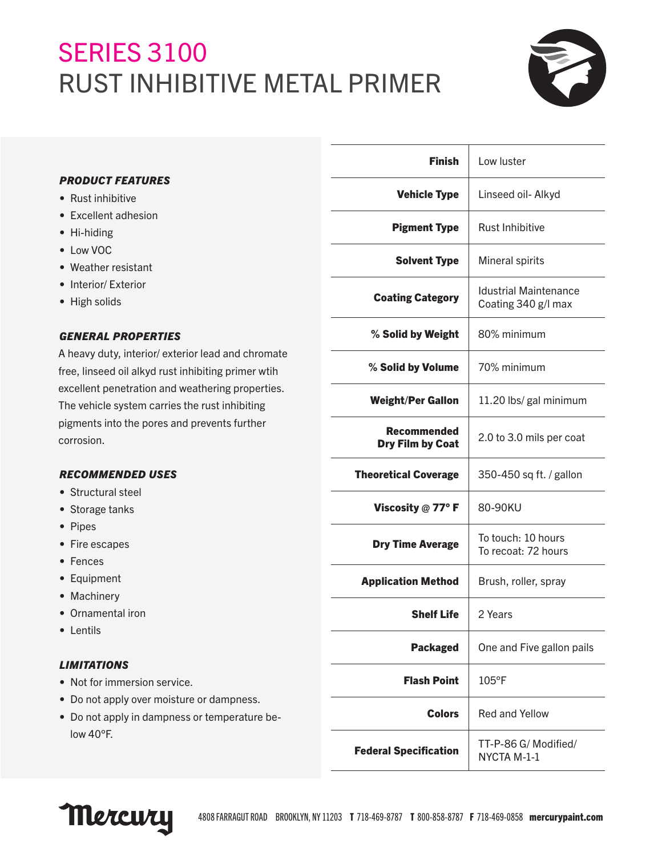# SERIES 3100 RUST INHIBITIVE METAL PRIMER



# *PRODUCT FEATURES*

- Rust inhibitive
- Excellent adhesion
- Hi-hiding
- Low VOC
- Weather resistant
- Interior/ Exterior
- High solids

# *GENERAL PROPERTIES*

A heavy duty, interior/ exterior lead and chromate free, linseed oil alkyd rust inhibiting primer wtih excellent penetration and weathering properties. The vehicle system carries the rust inhibiting pigments into the pores and prevents further corrosion.

# *RECOMMENDED USES*

- Structural steel
- Storage tanks
- Pipes
- Fire escapes
- Fences
- Equipment
- Machinery
- Ornamental iron
- Lentils

## *LIMITATIONS*

- Not for immersion service.
- Do not apply over moisture or dampness.
- Do not apply in dampness or temperature below 40°F.

| <b>Finish</b>                          | Low luster                                          |
|----------------------------------------|-----------------------------------------------------|
| <b>Vehicle Type</b>                    | Linseed oil- Alkyd                                  |
| <b>Pigment Type</b>                    | <b>Rust Inhibitive</b>                              |
| <b>Solvent Type</b>                    | Mineral spirits                                     |
| <b>Coating Category</b>                | <b>Idustrial Maintenance</b><br>Coating 340 g/l max |
| % Solid by Weight                      | 80% minimum                                         |
| % Solid by Volume                      | 70% minimum                                         |
| <b>Weight/Per Gallon</b>               | 11.20 lbs/ gal minimum                              |
| Recommended<br><b>Dry Film by Coat</b> | 2.0 to 3.0 mils per coat                            |
| <b>Theoretical Coverage</b>            | 350-450 sq ft. / gallon                             |
| Viscosity $@$ 77° F                    | 80-90KU                                             |
| <b>Dry Time Average</b>                | To touch: 10 hours<br>To recoat: 72 hours           |
| <b>Application Method</b>              | Brush, roller, spray                                |
| <b>Shelf Life</b>                      | 2 Years                                             |
| <b>Packaged</b>                        | One and Five gallon pails                           |
| <b>Flash Point</b>                     | $105^{\circ}$ F                                     |
| Colors                                 | <b>Red and Yellow</b>                               |
| <b>Federal Specification</b>           | TT-P-86 G/ Modified/<br>NYCTA M-1-1                 |